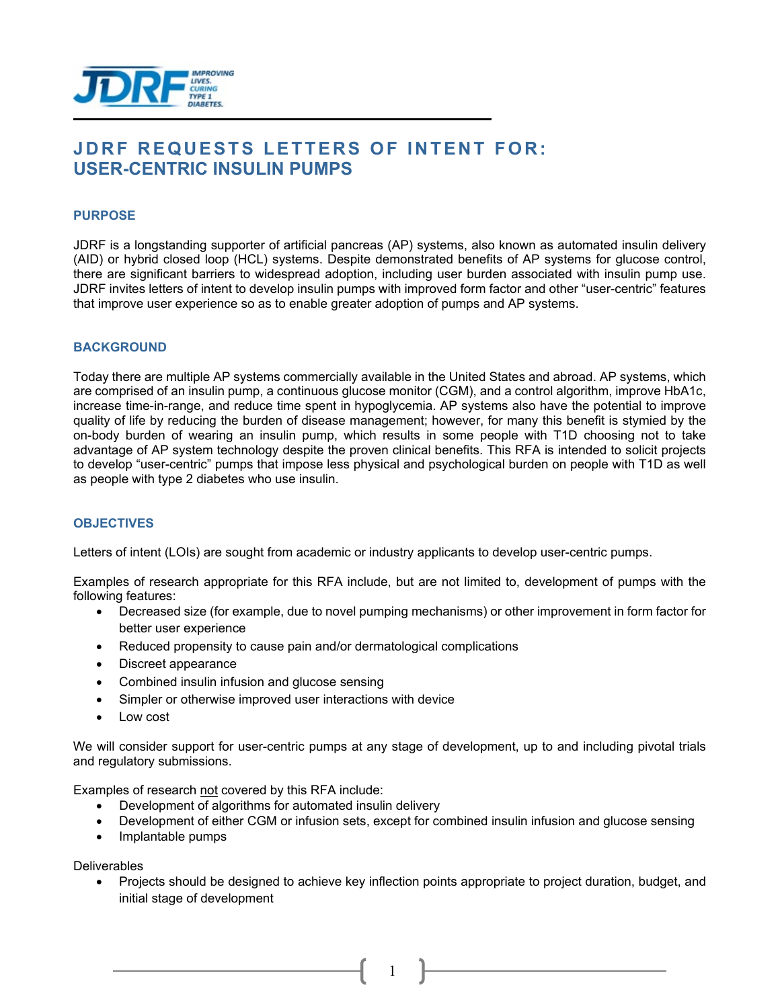

# **JDRF REQUESTS LETTERS OF INTENT FOR: USER-CENTRIC INSULIN PUMPS**

### **PURPOSE**

JDRF is a longstanding supporter of artificial pancreas (AP) systems, also known as automated insulin delivery (AID) or hybrid closed loop (HCL) systems. Despite demonstrated benefits of AP systems for glucose control, there are significant barriers to widespread adoption, including user burden associated with insulin pump use. JDRF invites letters of intent to develop insulin pumps with improved form factor and other "user-centric" features that improve user experience so as to enable greater adoption of pumps and AP systems.

### **BACKGROUND**

Today there are multiple AP systems commercially available in the United States and abroad. AP systems, which are comprised of an insulin pump, a continuous glucose monitor (CGM), and a control algorithm, improve HbA1c, increase time-in-range, and reduce time spent in hypoglycemia. AP systems also have the potential to improve quality of life by reducing the burden of disease management; however, for many this benefit is stymied by the on-body burden of wearing an insulin pump, which results in some people with T1D choosing not to take advantage of AP system technology despite the proven clinical benefits. This RFA is intended to solicit projects to develop "user-centric" pumps that impose less physical and psychological burden on people with T1D as well as people with type 2 diabetes who use insulin.

### **OBJECTIVES**

Letters of intent (LOIs) are sought from academic or industry applicants to develop user-centric pumps.

Examples of research appropriate for this RFA include, but are not limited to, development of pumps with the following features:

- Decreased size (for example, due to novel pumping mechanisms) or other improvement in form factor for better user experience
- Reduced propensity to cause pain and/or dermatological complications
- Discreet appearance
- Combined insulin infusion and glucose sensing
- Simpler or otherwise improved user interactions with device
- Low cost

We will consider support for user-centric pumps at any stage of development, up to and including pivotal trials and regulatory submissions.

Examples of research not covered by this RFA include:

- Development of algorithms for automated insulin delivery
- Development of either CGM or infusion sets, except for combined insulin infusion and glucose sensing
- Implantable pumps

**Deliverables** 

• Projects should be designed to achieve key inflection points appropriate to project duration, budget, and initial stage of development

1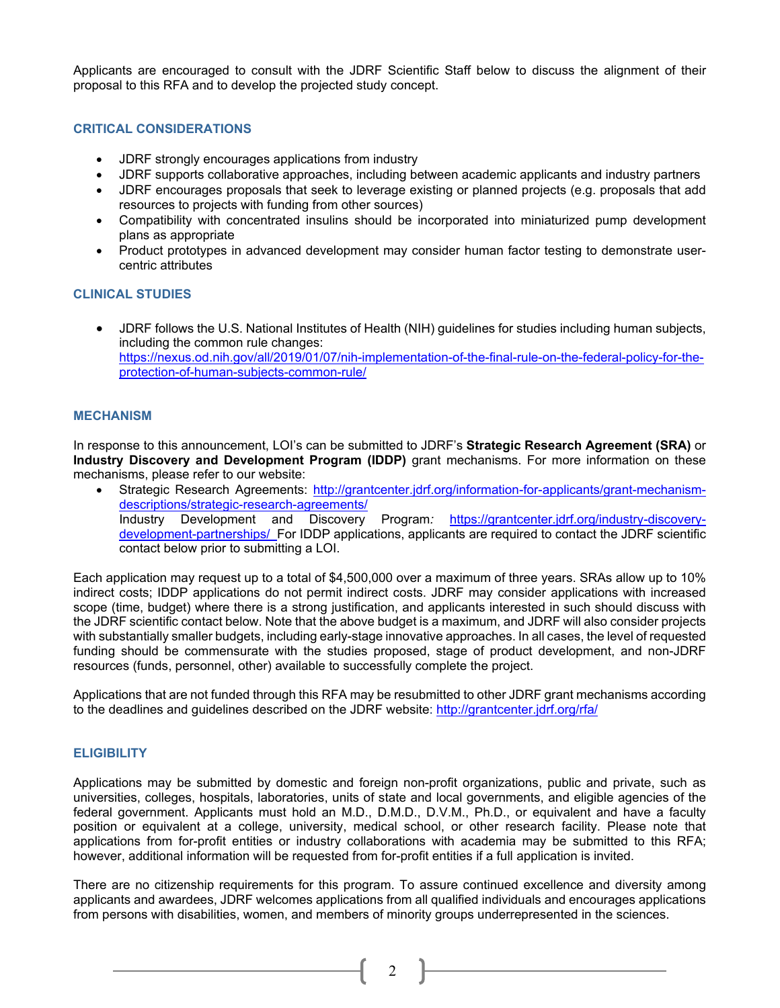Applicants are encouraged to consult with the JDRF Scientific Staff below to discuss the alignment of their proposal to this RFA and to develop the projected study concept.

### **CRITICAL CONSIDERATIONS**

- JDRF strongly encourages applications from industry
- JDRF supports collaborative approaches, including between academic applicants and industry partners
- JDRF encourages proposals that seek to leverage existing or planned projects (e.g. proposals that add resources to projects with funding from other sources)
- Compatibility with concentrated insulins should be incorporated into miniaturized pump development plans as appropriate
- Product prototypes in advanced development may consider human factor testing to demonstrate usercentric attributes

### **CLINICAL STUDIES**

• JDRF follows the U.S. National Institutes of Health (NIH) guidelines for studies including human subjects, including the common rule changes: [https://nexus.od.nih.gov/all/2019/01/07/nih-implementation-of-the-final-rule-on-the-federal-policy-for-the](https://nexus.od.nih.gov/all/2019/01/07/nih-implementation-of-the-final-rule-on-the-federal-policy-for-the-protection-of-human-subjects-common-rule/)[protection-of-human-subjects-common-rule/](https://nexus.od.nih.gov/all/2019/01/07/nih-implementation-of-the-final-rule-on-the-federal-policy-for-the-protection-of-human-subjects-common-rule/)

### **MECHANISM**

In response to this announcement, LOI's can be submitted to JDRF's **Strategic Research Agreement (SRA)** or **Industry Discovery and Development Program (IDDP)** grant mechanisms. For more information on these mechanisms, please refer to our website:

• Strategic Research Agreements: [http://grantcenter.jdrf.org/information-for-applicants/grant-mechanism](http://grantcenter.jdrf.org/information-for-applicants/grant-mechanism-descriptions/strategic-research-agreements/)[descriptions/strategic-research-agreements/](http://grantcenter.jdrf.org/information-for-applicants/grant-mechanism-descriptions/strategic-research-agreements/)<br>Industry Development and Discovery Industry Development and Discovery Program*:* [https://grantcenter.jdrf.org/industry-discovery](https://grantcenter.jdrf.org/industry-discovery-development-partnerships/)[development-partnerships/](https://grantcenter.jdrf.org/industry-discovery-development-partnerships/) For IDDP applications, applicants are required to contact the JDRF scientific contact below prior to submitting a LOI.

Each application may request up to a total of \$4,500,000 over a maximum of three years. SRAs allow up to 10% indirect costs; IDDP applications do not permit indirect costs. JDRF may consider applications with increased scope (time, budget) where there is a strong justification, and applicants interested in such should discuss with the JDRF scientific contact below. Note that the above budget is a maximum, and JDRF will also consider projects with substantially smaller budgets, including early-stage innovative approaches. In all cases, the level of requested funding should be commensurate with the studies proposed, stage of product development, and non-JDRF resources (funds, personnel, other) available to successfully complete the project.

Applications that are not funded through this RFA may be resubmitted to other JDRF grant mechanisms according to the deadlines and guidelines described on the JDRF website: <http://grantcenter.jdrf.org/rfa/>

### **ELIGIBILITY**

Applications may be submitted by domestic and foreign non-profit organizations, public and private, such as universities, colleges, hospitals, laboratories, units of state and local governments, and eligible agencies of the federal government. Applicants must hold an M.D., D.M.D., D.V.M., Ph.D., or equivalent and have a faculty position or equivalent at a college, university, medical school, or other research facility. Please note that applications from for-profit entities or industry collaborations with academia may be submitted to this RFA; however, additional information will be requested from for-profit entities if a full application is invited.

There are no citizenship requirements for this program. To assure continued excellence and diversity among applicants and awardees, JDRF welcomes applications from all qualified individuals and encourages applications from persons with disabilities, women, and members of minority groups underrepresented in the sciences.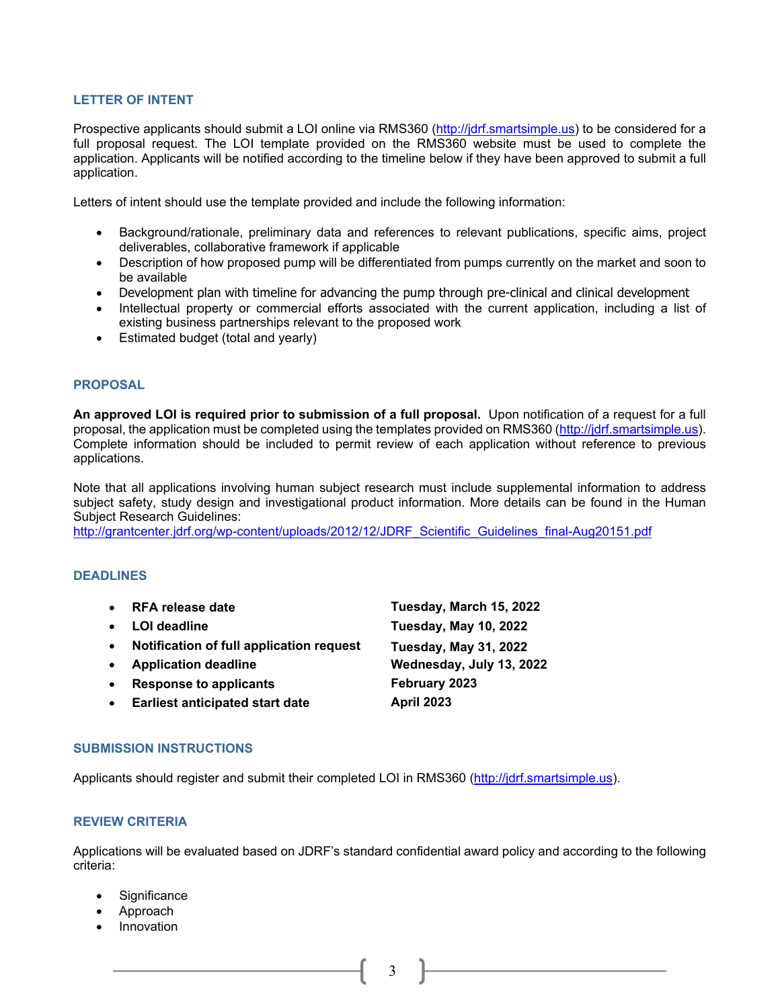### **LETTER OF INTENT**

Prospective applicants should submit a LOI online via RMS360 [\(http://jdrf.smartsimple.us\)](http://jdrf.smartsimple.us/) to be considered for a full proposal request. The LOI template provided on the RMS360 website must be used to complete the application. Applicants will be notified according to the timeline below if they have been approved to submit a full application.

Letters of intent should use the template provided and include the following information:

- Background/rationale, preliminary data and references to relevant publications, specific aims, project deliverables, collaborative framework if applicable
- Description of how proposed pump will be differentiated from pumps currently on the market and soon to be available
- Development plan with timeline for advancing the pump through pre-clinical and clinical development
- Intellectual property or commercial efforts associated with the current application, including a list of existing business partnerships relevant to the proposed work
- Estimated budget (total and yearly)

### **PROPOSAL**

**An approved LOI is required prior to submission of a full proposal.** Upon notification of a request for a full proposal, the application must be completed using the templates provided on RMS360 [\(http://jdrf.smartsimple.us\)](http://jdrf.smartsimple.us/). Complete information should be included to permit review of each application without reference to previous applications.

Note that all applications involving human subject research must include supplemental information to address subject safety, study design and investigational product information. More details can be found in the Human Subject Research Guidelines:

[http://grantcenter.jdrf.org/wp-content/uploads/2012/12/JDRF\\_Scientific\\_Guidelines\\_final-Aug20151.pdf](http://grantcenter.jdrf.org/wp-content/uploads/2012/12/JDRF_Scientific_Guidelines_final-Aug20151.pdf)

### **DEADLINES**

- **RFA release date Tuesday, March 15, 2022** • **LOI deadline Tuesday, May 10, 2022** • **Notification of full application request Tuesday, May 31, 2022**
- 
- **Response to applicants February 2023**
- **Earliest anticipated start date April 2023**

# • **Application deadline Wednesday, July 13, 2022**

## **SUBMISSION INSTRUCTIONS**

Applicants should register and submit their completed LOI in RMS360 [\(http://jdrf.smartsimple.us\)](http://jdrf.smartsimple.us/).

### **REVIEW CRITERIA**

Applications will be evaluated based on JDRF's standard confidential award policy and according to the following criteria:

- Significance
- Approach
- **Innovation**